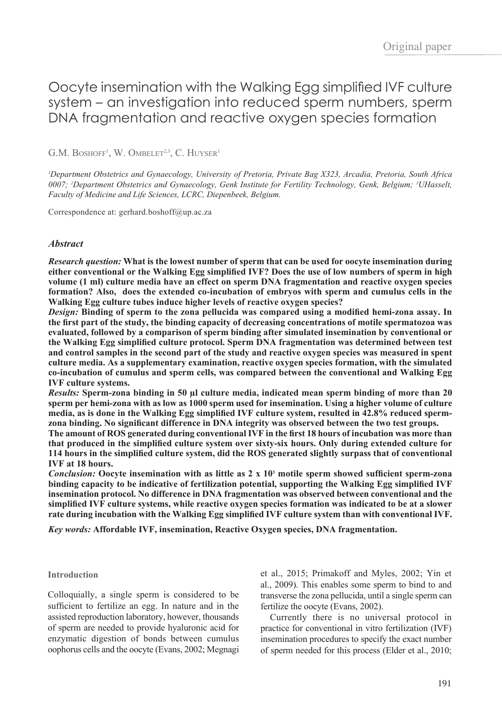# Oocyte insemination with the Walking Egg simplified IVF culture system – an investigation into reduced sperm numbers, sperm DNA fragmentation and reactive oxygen species formation

 $G.M.$  BOSHOFF<sup>1</sup>, W. OMBELET<sup>2,3</sup>, C. HUYSER<sup>1</sup>

*1 Department Obstetrics and Gynaecology, University of Pretoria, Private Bag X323, Arcadia, Pretoria, South Africa 0007; 2 Department Obstetrics and Gynaecology, Genk Institute for Fertility Technology, Genk, Belgium; 3 UHasselt, Faculty of Medicine and Life Sciences, LCRC, Diepenbeek, Belgium.*

Correspondence at: gerhard.boshoff@up.ac.za

# *Abstract*

*Research question:* **What is the lowest number of sperm that can be used for oocyte insemination during either conventional or the Walking Egg simplified IVF? Does the use of low numbers of sperm in high volume (1 ml) culture media have an effect on sperm DNA fragmentation and reactive oxygen species formation? Also, does the extended co-incubation of embryos with sperm and cumulus cells in the Walking Egg culture tubes induce higher levels of reactive oxygen species?**

*Design:* **Binding of sperm to the zona pellucida was compared using a modified hemi-zona assay. In the first part of the study, the binding capacity of decreasing concentrations of motile spermatozoa was evaluated, followed by a comparison of sperm binding after simulated insemination by conventional or the Walking Egg simplified culture protocol. Sperm DNA fragmentation was determined between test and control samples in the second part of the study and reactive oxygen species was measured in spent culture media. As a supplementary examination, reactive oxygen species formation, with the simulated co-incubation of cumulus and sperm cells, was compared between the conventional and Walking Egg IVF culture systems.**

*Results:* **Sperm-zona binding in 50 µl culture media, indicated mean sperm binding of more than 20 sperm per hemi-zona with as low as 1000 sperm used for insemination. Using a higher volume of culture media, as is done in the Walking Egg simplified IVF culture system, resulted in 42.8% reduced spermzona binding. No significant difference in DNA integrity was observed between the two test groups.**

**The amount of ROS generated during conventional IVF in the first 18 hours of incubation was more than that produced in the simplified culture system over sixty-six hours. Only during extended culture for 114 hours in the simplified culture system, did the ROS generated slightly surpass that of conventional IVF at 18 hours.** 

*Conclusion:* **Oocyte insemination with as little as 2 x 10<sup>3</sup> motile sperm showed sufficient sperm-zona binding capacity to be indicative of fertilization potential, supporting the Walking Egg simplified IVF insemination protocol. No difference in DNA fragmentation was observed between conventional and the simplified IVF culture systems, while reactive oxygen species formation was indicated to be at a slower rate during incubation with the Walking Egg simplified IVF culture system than with conventional IVF.**

*Key words:* **Affordable IVF, insemination, Reactive Oxygen species, DNA fragmentation.**

### **Introduction**

Colloquially, a single sperm is considered to be sufficient to fertilize an egg. In nature and in the assisted reproduction laboratory, however, thousands of sperm are needed to provide hyaluronic acid for enzymatic digestion of bonds between cumulus oophorus cells and the oocyte (Evans, 2002; Megnagi et al., 2015; Primakoff and Myles, 2002; Yin et al., 2009). This enables some sperm to bind to and transverse the zona pellucida, until a single sperm can fertilize the oocyte (Evans, 2002).

Currently there is no universal protocol in practice for conventional in vitro fertilization (IVF) insemination procedures to specify the exact number of sperm needed for this process (Elder et al., 2010;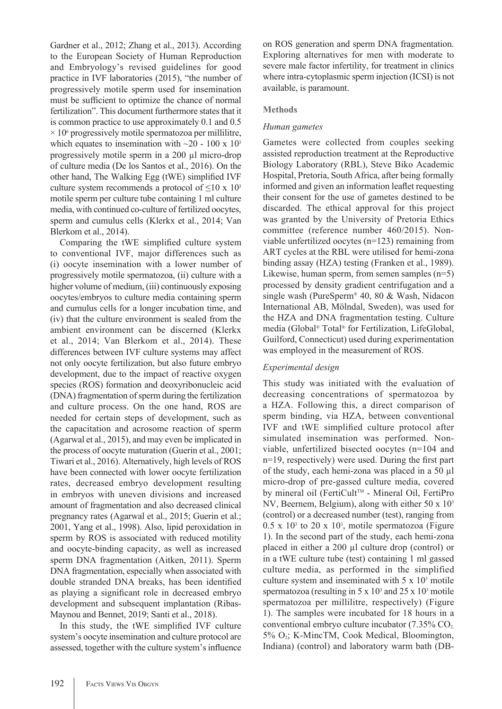Gardner et al., 2012; Zhang et al., 2013). According to the European Society of Human Reproduction and Embryology's revised guidelines for good practice in IVF laboratories (2015), "the number of progressively motile sperm used for insemination must be sufficient to optimize the chance of normal fertilization". This document furthermore states that it is common practice to use approximately 0.1 and 0.5  $\times$  10 $\degree$  progressively motile spermatozoa per millilitre, which equates to insemination with  $\sim$ 20 - 100 x 10<sup>3</sup> progressively motile sperm in a 200 µl micro-drop of culture media (De los Santos et al., 2016). On the other hand, The Walking Egg (tWE) simplified IVF culture system recommends a protocol of  $\leq 10 \times 10^3$ motile sperm per culture tube containing 1 ml culture media, with continued co-culture of fertilized oocytes, sperm and cumulus cells (Klerkx et al., 2014; Van Blerkom et al., 2014).

Comparing the tWE simplified culture system to conventional IVF, major differences such as (i) oocyte insemination with a lower number of progressively motile spermatozoa, (ii) culture with a higher volume of medium, (iii) continuously exposing oocytes/embryos to culture media containing sperm and cumulus cells for a longer incubation time, and (iv) that the culture environment is sealed from the ambient environment can be discerned (Klerkx et al., 2014; Van Blerkom et al., 2014). These differences between IVF culture systems may affect not only oocyte fertilization, but also future embryo development, due to the impact of reactive oxygen species (ROS) formation and deoxyribonucleic acid (DNA) fragmentation of sperm during the fertilization and culture process. On the one hand, ROS are needed for certain steps of development, such as the capacitation and acrosome reaction of sperm (Agarwal et al., 2015), and may even be implicated in the process of oocyte maturation (Guerin et al., 2001; Tiwari et al., 2016). Alternatively, high levels of ROS have been connected with lower oocyte fertilization rates, decreased embryo development resulting in embryos with uneven divisions and increased amount of fragmentation and also decreased clinical pregnancy rates (Agarwal et al., 2015; Guerin et al.; 2001, Yang et al., 1998). Also, lipid peroxidation in sperm by ROS is associated with reduced motility and oocyte-binding capacity, as well as increased sperm DNA fragmentation (Aitken, 2011). Sperm DNA fragmentation, especially when associated with double stranded DNA breaks, has been identified as playing a significant role in decreased embryo development and subsequent implantation (Ribas-Maynou and Bennet, 2019; Santi et al., 2018).

In this study, the tWE simplified IVF culture system's oocyte insemination and culture protocol are assessed, together with the culture system's influence on ROS generation and sperm DNA fragmentation. Exploring alternatives for men with moderate to severe male factor infertility, for treatment in clinics where intra-cytoplasmic sperm injection (ICSI) is not available, is paramount.

## **Methods**

## *Human gametes*

Gametes were collected from couples seeking assisted reproduction treatment at the Reproductive Biology Laboratory (RBL), Steve Biko Academic Hospital, Pretoria, South Africa, after being formally informed and given an information leaflet requesting their consent for the use of gametes destined to be discarded. The ethical approval for this project was granted by the University of Pretoria Ethics committee (reference number 460/2015). Nonviable unfertilized oocytes (n=123) remaining from ART cycles at the RBL were utilised for hemi-zona binding assay (HZA) testing (Franken et al., 1989). Likewise, human sperm, from semen samples  $(n=5)$ processed by density gradient centrifugation and a single wash (PureSperm® 40, 80 & Wash, Nidacon International AB, Mölndal, Sweden), was used for the HZA and DNA fragmentation testing. Culture media (Global® Total® for Fertilization, LifeGlobal, Guilford, Connecticut) used during experimentation was employed in the measurement of ROS.

# *Experimental design*

This study was initiated with the evaluation of decreasing concentrations of spermatozoa by a HZA. Following this, a direct comparison of sperm binding, via HZA, between conventional IVF and tWE simplified culture protocol after simulated insemination was performed. Nonviable, unfertilized bisected oocytes (n=104 and n=19, respectively) were used. During the first part of the study, each hemi-zona was placed in a 50 µl micro-drop of pre-gassed culture media, covered by mineral oil (FertiCult™ - Mineral Oil, FertiPro NV, Beernem, Belgium), along with either 50 x 103 (control) or a decreased number (test), ranging from  $0.5 \times 10^3$  to 20 x 10<sup>3</sup>, motile spermatozoa (Figure 1). In the second part of the study, each hemi-zona placed in either a 200 µl culture drop (control) or in a tWE culture tube (test) containing 1 ml gassed culture media, as performed in the simplified culture system and inseminated with  $5 \times 10^3$  motile spermatozoa (resulting in  $5 \times 10^3$  and  $25 \times 10^3$  motile spermatozoa per millilitre, respectively) (Figure 1). The samples were incubated for 18 hours in a conventional embryo culture incubator  $(7.35\% \text{ CO}_2)$ 5% O<sub>2</sub>; K-MincTM, Cook Medical, Bloomington, Indiana) (control) and laboratory warm bath (DB-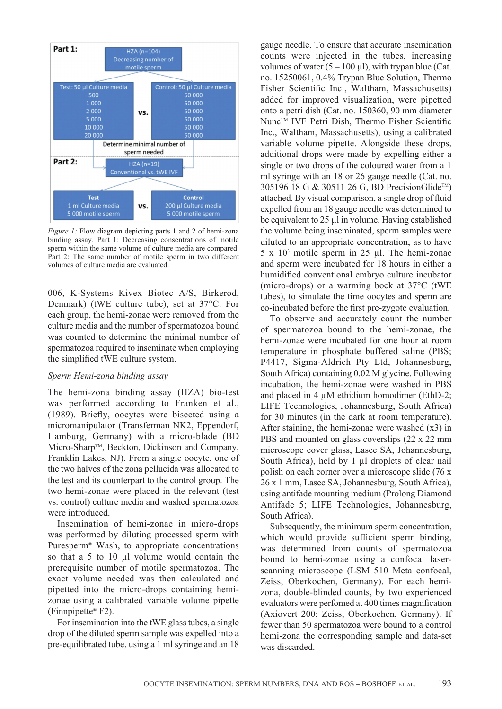

*Figure 1:* Flow diagram depicting parts 1 and 2 of hemi-zona binding assay. Part 1: Decreasing consentrations of motile sperm within the same volume of culture media are compared. Part 2: The same number of motile sperm in two different volumes of culture media are evaluated.

006, K-Systems Kivex Biotec A/S, Birkerod, Denmark) (tWE culture tube), set at 37°C. For each group, the hemi-zonae were removed from the culture media and the number of spermatozoa bound was counted to determine the minimal number of spermatozoa required to inseminate when employing the simplified tWE culture system.

### *Sperm Hemi-zona binding assay*

The hemi-zona binding assay (HZA) bio-test was performed according to Franken et al., (1989). Briefly, oocytes were bisected using a micromanipulator (Transferman NK2, Eppendorf, Hamburg, Germany) with a micro-blade (BD Micro-Sharp™, Beckton, Dickinson and Company, Franklin Lakes, NJ). From a single oocyte, one of the two halves of the zona pellucida was allocated to the test and its counterpart to the control group. The two hemi-zonae were placed in the relevant (test vs. control) culture media and washed spermatozoa were introduced.

Insemination of hemi-zonae in micro-drops was performed by diluting processed sperm with Puresperm® Wash, to appropriate concentrations so that a 5 to 10 µl volume would contain the prerequisite number of motile spermatozoa. The exact volume needed was then calculated and pipetted into the micro-drops containing hemizonae using a calibrated variable volume pipette (Finnpipette® F2).

For insemination into the tWE glass tubes, a single drop of the diluted sperm sample was expelled into a pre-equilibrated tube, using a 1 ml syringe and an 18

gauge needle. To ensure that accurate insemination counts were injected in the tubes, increasing volumes of water  $(5 - 100 \mu l)$ , with trypan blue (Cat. no. 15250061, 0.4% Trypan Blue Solution, Thermo Fisher Scientific Inc., Waltham, Massachusetts) added for improved visualization, were pipetted onto a petri dish (Cat. no. 150360, 90 mm diameter Nunc™ IVF Petri Dish, Thermo Fisher Scientific Inc., Waltham, Massachusetts), using a calibrated variable volume pipette. Alongside these drops, additional drops were made by expelling either a single or two drops of the coloured water from a 1 ml syringe with an 18 or 26 gauge needle (Cat. no. 305196 18 G & 30511 26 G, BD PrecisionGlide™) attached. By visual comparison, a single drop of fluid expelled from an 18 gauge needle was determined to be equivalent to 25 µl in volume. Having established the volume being inseminated, sperm samples were diluted to an appropriate concentration, as to have  $5 \times 10^3$  motile sperm in 25 µl. The hemi-zonae and sperm were incubated for 18 hours in either a humidified conventional embryo culture incubator (micro-drops) or a warming bock at 37°C (tWE tubes), to simulate the time oocytes and sperm are co-incubated before the first pre-zygote evaluation.

To observe and accurately count the number of spermatozoa bound to the hemi-zonae, the hemi-zonae were incubated for one hour at room temperature in phosphate buffered saline (PBS; P4417, Sigma-Aldrich Pty Ltd, Johannesburg, South Africa) containing 0.02 M glycine. Following incubation, the hemi-zonae were washed in PBS and placed in 4  $\mu$ M ethidium homodimer (EthD-2; LIFE Technologies, Johannesburg, South Africa) for 30 minutes (in the dark at room temperature). After staining, the hemi-zonae were washed  $(x3)$  in PBS and mounted on glass coverslips (22 x 22 mm microscope cover glass, Lasec SA, Johannesburg, South Africa), held by 1 µl droplets of clear nail polish on each corner over a microscope slide (76 x 26 x 1 mm, Lasec SA, Johannesburg, South Africa), using antifade mounting medium (Prolong Diamond Antifade 5; LIFE Technologies, Johannesburg, South Africa).

Subsequently, the minimum sperm concentration, which would provide sufficient sperm binding, was determined from counts of spermatozoa bound to hemi-zonae using a confocal laserscanning microscope (LSM 510 Meta confocal, Zeiss, Oberkochen, Germany). For each hemizona, double-blinded counts, by two experienced evaluators were perfomed at 400 times magnification (Axiovert 200; Zeiss, Oberkochen, Germany). If fewer than 50 spermatozoa were bound to a control hemi-zona the corresponding sample and data-set was discarded.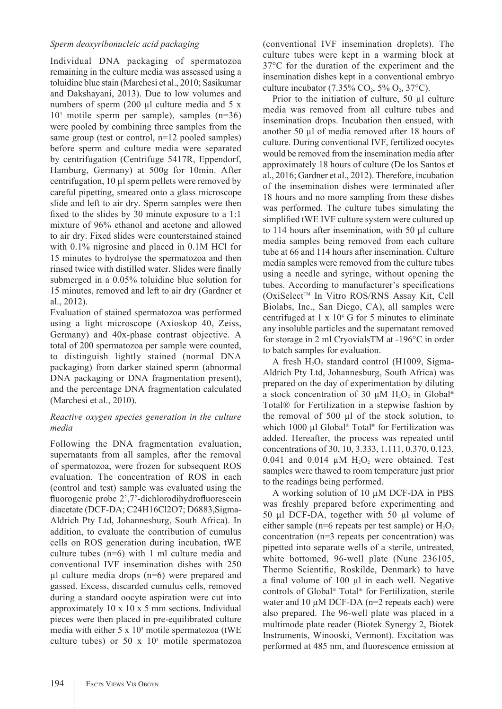# *Sperm deoxyribonucleic acid packaging*

Individual DNA packaging of spermatozoa remaining in the culture media was assessed using a toluidine blue stain (Marchesi et al., 2010; Sasikumar and Dakshayani, 2013). Due to low volumes and numbers of sperm  $(200 \mu l)$  culture media and 5 x 103 motile sperm per sample), samples (n=36) were pooled by combining three samples from the same group (test or control,  $n=12$  pooled samples) before sperm and culture media were separated by centrifugation (Centrifuge 5417R, Eppendorf, Hamburg, Germany) at 500g for 10min. After centrifugation, 10 µl sperm pellets were removed by careful pipetting, smeared onto a glass microscope slide and left to air dry. Sperm samples were then fixed to the slides by 30 minute exposure to a 1:1 mixture of 96% ethanol and acetone and allowed to air dry. Fixed slides were counterstained stained with  $0.1\%$  nigrosine and placed in  $0.1M$  HCl for 15 minutes to hydrolyse the spermatozoa and then rinsed twice with distilled water. Slides were finally submerged in a 0.05% toluidine blue solution for 15 minutes, removed and left to air dry (Gardner et al., 2012).

Evaluation of stained spermatozoa was performed using a light microscope (Axioskop 40, Zeiss, Germany) and 40x-phase contrast objective. A total of 200 spermatozoa per sample were counted, to distinguish lightly stained (normal DNA packaging) from darker stained sperm (abnormal DNA packaging or DNA fragmentation present), and the percentage DNA fragmentation calculated (Marchesi et al., 2010).

# *Reactive oxygen species generation in the culture media*

Following the DNA fragmentation evaluation, supernatants from all samples, after the removal of spermatozoa, were frozen for subsequent ROS evaluation. The concentration of ROS in each (control and test) sample was evaluated using the fluorogenic probe 2',7'-dichlorodihydrofluorescein diacetate (DCF-DA; C24H16Cl2O7; D6883,Sigma-Aldrich Pty Ltd, Johannesburg, South Africa). In addition, to evaluate the contribution of cumulus cells on ROS generation during incubation, tWE culture tubes (n=6) with 1 ml culture media and conventional IVF insemination dishes with 250 µl culture media drops (n=6) were prepared and gassed. Excess, discarded cumulus cells, removed during a standard oocyte aspiration were cut into approximately 10 x 10 x 5 mm sections. Individual pieces were then placed in pre-equilibrated culture media with either  $5 \times 10^3$  motile spermatozoa (tWE culture tubes) or  $50 \times 10^3$  motile spermatozoa (conventional IVF insemination droplets). The culture tubes were kept in a warming block at 37°C for the duration of the experiment and the insemination dishes kept in a conventional embryo culture incubator (7.35%  $CO_2$ , 5%  $O_2$ , 37°C).

Prior to the initiation of culture, 50 µl culture media was removed from all culture tubes and insemination drops. Incubation then ensued, with another 50 µl of media removed after 18 hours of culture. During conventional IVF, fertilized oocytes would be removed from the insemination media after approximately 18 hours of culture (De los Santos et al., 2016; Gardner et al., 2012). Therefore, incubation of the insemination dishes were terminated after 18 hours and no more sampling from these dishes was performed. The culture tubes simulating the simplified tWE IVF culture system were cultured up to 114 hours after insemination, with 50 µl culture media samples being removed from each culture tube at 66 and 114 hours after insemination. Culture media samples were removed from the culture tubes using a needle and syringe, without opening the tubes. According to manufacturer's specifications (OxiSelect<sup>™</sup> In Vitro ROS/RNS Assay Kit, Cell Biolabs, Inc., San Diego, CA), all samples were centrifuged at  $1 \times 10^4$  G for 5 minutes to eliminate any insoluble particles and the supernatant removed for storage in 2 ml CryovialsTM at -196°C in order to batch samples for evaluation.

A fresh  $H_2O_2$  standard control (H1009, Sigma-Aldrich Pty Ltd, Johannesburg, South Africa) was prepared on the day of experimentation by diluting a stock concentration of 30  $\mu$ M H<sub>2</sub>O<sub>2</sub> in Global<sup>®</sup> Total® for Fertilization in a stepwise fashion by the removal of 500 µl of the stock solution, to which 1000 µl Global® Total® for Fertilization was added. Hereafter, the process was repeated until concentrations of 30, 10, 3.333, 1.111, 0.370, 0.123, 0.041 and 0.014  $\mu$ M H<sub>2</sub>O<sub>2</sub> were obtained. Test samples were thawed to room temperature just prior to the readings being performed.

A working solution of 10 µM DCF-DA in PBS was freshly prepared before experimenting and 50 µl DCF-DA, together with 50 µl volume of either sample ( $n=6$  repeats per test sample) or  $H_2O_2$ concentration (n=3 repeats per concentration) was pipetted into separate wells of a sterile, untreated, white bottomed, 96-well plate (Nunc 236105, Thermo Scientific, Roskilde, Denmark) to have a final volume of 100 µl in each well. Negative controls of Global® Total® for Fertilization, sterile water and 10  $\mu$ M DCF-DA (n=2 repeats each) were also prepared. The 96-well plate was placed in a multimode plate reader (Biotek Synergy 2, Biotek Instruments, Winooski, Vermont). Excitation was performed at 485 nm, and fluorescence emission at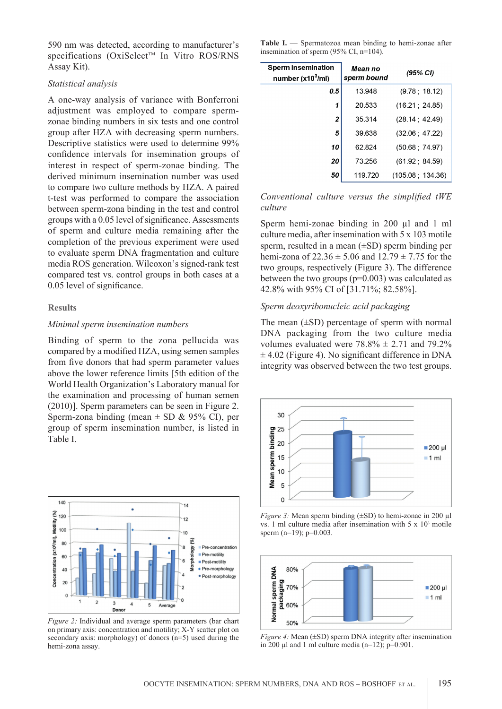590 nm was detected, according to manufacturer's specifications (OxiSelect<sup>TM</sup> In Vitro ROS/RNS Assay Kit).

### *Statistical analysis*

A one-way analysis of variance with Bonferroni adjustment was employed to compare spermzonae binding numbers in six tests and one control group after HZA with decreasing sperm numbers. Descriptive statistics were used to determine 99% confidence intervals for insemination groups of interest in respect of sperm-zonae binding. The derived minimum insemination number was used to compare two culture methods by HZA. A paired t-test was performed to compare the association between sperm-zona binding in the test and control groups with a 0.05 level of significance. Assessments of sperm and culture media remaining after the completion of the previous experiment were used to evaluate sperm DNA fragmentation and culture media ROS generation. Wilcoxon's signed-rank test compared test vs. control groups in both cases at a 0.05 level of significance.

### **Results**

### *Minimal sperm insemination numbers*

Binding of sperm to the zona pellucida was compared by a modified HZA, using semen samples from five donors that had sperm parameter values above the lower reference limits [5th edition of the World Health Organization's Laboratory manual for the examination and processing of human semen (2010)]. Sperm parameters can be seen in Figure 2. Sperm-zona binding (mean  $\pm$  SD & 95% CI), per group of sperm insemination number, is listed in Table I.



*Figure 2:* Individual and average sperm parameters (bar chart on primary axis: concentration and motility; X-Y scatter plot on secondary axis: morphology) of donors (n=5) used during the hemi-zona assay.

| <b>Table I.</b> $\sim$ Spermatozoa mean binding to hemi-zonae after |  |  |  |
|---------------------------------------------------------------------|--|--|--|
| insemination of sperm $(95\% \text{ CI}, \text{n} = 104)$ .         |  |  |  |

| <b>Sperm insemination</b><br>number (x10 $^3$ /ml) | Mean no<br>sperm bound | (95% CI)         |  |
|----------------------------------------------------|------------------------|------------------|--|
| 0.5                                                | 13948                  | (9.78:18.12)     |  |
| 1                                                  | 20.533                 | (16.21; 24.85)   |  |
| $\mathbf{2}$                                       | 35.314                 | (28.14; 42.49)   |  |
| 5                                                  | 39 638                 | (32.06 : 47.22)  |  |
| 10                                                 | 62824                  | (50.68 : 74.97)  |  |
| 20                                                 | 73.256                 | (61.92 : 84.59)  |  |
| 50                                                 | 119.720                | (105.08, 134.36) |  |

*Conventional culture versus the simplified tWE culture*

Sperm hemi-zonae binding in 200 µl and 1 ml culture media, after insemination with 5 x 103 motile sperm, resulted in a mean (±SD) sperm binding per hemi-zona of  $22.36 \pm 5.06$  and  $12.79 \pm 7.75$  for the two groups, respectively (Figure 3). The difference between the two groups  $(p=0.003)$  was calculated as 42.8% with 95% CI of [31.71%; 82.58%].

### *Sperm deoxyribonucleic acid packaging*

The mean  $(\pm SD)$  percentage of sperm with normal DNA packaging from the two culture media volumes evaluated were  $78.8\% \pm 2.71$  and  $79.2\%$  $\pm$  4.02 (Figure 4). No significant difference in DNA integrity was observed between the two test groups.



*Figure 3:* Mean sperm binding ( $\pm$ SD) to hemi-zonae in 200 µl vs. 1 ml culture media after insemination with  $5 \times 10^3$  motile sperm (n=19);  $p=0.003$ .



*Figure 4:* Mean ( $\pm$ SD) sperm DNA integrity after insemination in 200  $\mu$ l and 1 ml culture media (n=12); p=0.901.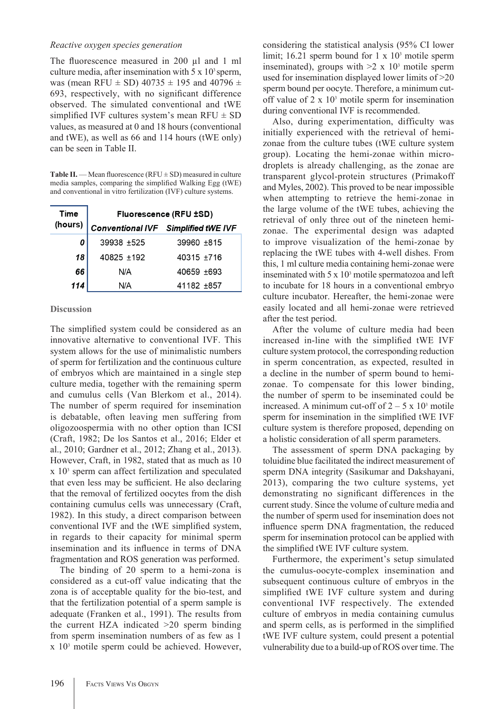### *Reactive oxygen species generation*

The fluorescence measured in 200 µl and 1 ml culture media, after insemination with  $5 \times 10^3$  sperm, was (mean RFU  $\pm$  SD) 40735  $\pm$  195 and 40796  $\pm$ 693, respectively, with no significant difference observed. The simulated conventional and tWE simplified IVF cultures system's mean  $RFU \pm SD$ values, as measured at 0 and 18 hours (conventional and tWE), as well as 66 and 114 hours (tWE only) can be seen in Table II.

**Table II.** — Mean fluorescence ( $RFU \pm SD$ ) measured in culture media samples, comparing the simplified Walking Egg (tWE) and conventional in vitro fertilization (IVF) culture systems.

| <b>Time</b> | Fluorescence (RFU ±SD) |                                            |  |  |  |  |  |
|-------------|------------------------|--------------------------------------------|--|--|--|--|--|
| (hours)     |                        | <b>Conventional IVF</b> Simplified tWE IVF |  |  |  |  |  |
| 0           | 39938 ±525             | $39960 + 815$                              |  |  |  |  |  |
| 18          | $40825 + 192$          | 40315 +716                                 |  |  |  |  |  |
| 66          | N/A                    | 40659 +693                                 |  |  |  |  |  |
| 114         | N/A                    | 41182 ±857                                 |  |  |  |  |  |

### **Discussion**

The simplified system could be considered as an innovative alternative to conventional IVF. This system allows for the use of minimalistic numbers of sperm for fertilization and the continuous culture of embryos which are maintained in a single step culture media, together with the remaining sperm and cumulus cells (Van Blerkom et al., 2014). The number of sperm required for insemination is debatable, often leaving men suffering from oligozoospermia with no other option than ICSI (Craft, 1982; De los Santos et al., 2016; Elder et al., 2010; Gardner et al., 2012; Zhang et al., 2013). However, Craft, in 1982, stated that as much as 10 x 103 sperm can affect fertilization and speculated that even less may be sufficient. He also declaring that the removal of fertilized oocytes from the dish containing cumulus cells was unnecessary (Craft, 1982). In this study, a direct comparison between conventional IVF and the tWE simplified system, in regards to their capacity for minimal sperm insemination and its influence in terms of DNA fragmentation and ROS generation was performed.

The binding of 20 sperm to a hemi-zona is considered as a cut-off value indicating that the zona is of acceptable quality for the bio-test, and that the fertilization potential of a sperm sample is adequate (Franken et al., 1991). The results from the current HZA indicated >20 sperm binding from sperm insemination numbers of as few as 1 x 103 motile sperm could be achieved. However, considering the statistical analysis (95% CI lower limit; 16.21 sperm bound for  $1 \times 10^3$  motile sperm inseminated), groups with  $>2 \times 10^3$  motile sperm used for insemination displayed lower limits of >20 sperm bound per oocyte. Therefore, a minimum cutoff value of  $2 \times 10^3$  motile sperm for insemination during conventional IVF is recommended.

Also, during experimentation, difficulty was initially experienced with the retrieval of hemizonae from the culture tubes (tWE culture system group). Locating the hemi-zonae within microdroplets is already challenging, as the zonae are transparent glycol-protein structures (Primakoff and Myles, 2002). This proved to be near impossible when attempting to retrieve the hemi-zonae in the large volume of the tWE tubes, achieving the retrieval of only three out of the nineteen hemizonae. The experimental design was adapted to improve visualization of the hemi-zonae by replacing the tWE tubes with 4-well dishes. From this, 1 ml culture media containing hemi-zonae were inseminated with  $5 \times 10^3$  motile spermatozoa and left to incubate for 18 hours in a conventional embryo culture incubator. Hereafter, the hemi-zonae were easily located and all hemi-zonae were retrieved after the test period.

After the volume of culture media had been increased in-line with the simplified tWE IVF culture system protocol, the corresponding reduction in sperm concentration, as expected, resulted in a decline in the number of sperm bound to hemizonae. To compensate for this lower binding, the number of sperm to be inseminated could be increased. A minimum cut-off of  $2 - 5 \times 10^3$  motile sperm for insemination in the simplified tWE IVF culture system is therefore proposed, depending on a holistic consideration of all sperm parameters.

The assessment of sperm DNA packaging by toluidine blue facilitated the indirect measurement of sperm DNA integrity (Sasikumar and Dakshayani, 2013), comparing the two culture systems, yet demonstrating no significant differences in the current study. Since the volume of culture media and the number of sperm used for insemination does not influence sperm DNA fragmentation, the reduced sperm for insemination protocol can be applied with the simplified tWE IVF culture system.

Furthermore, the experiment's setup simulated the cumulus-oocyte-complex insemination and subsequent continuous culture of embryos in the simplified tWE IVF culture system and during conventional IVF respectively. The extended culture of embryos in media containing cumulus and sperm cells, as is performed in the simplified tWE IVF culture system, could present a potential vulnerability due to a build-up of ROS over time. The